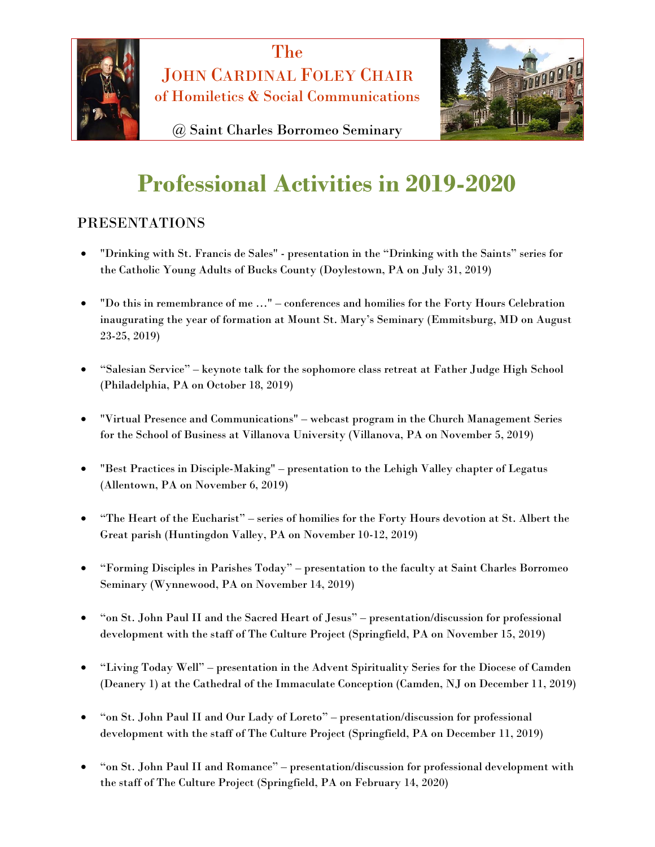



@ Saint Charles Borromeo Seminary

# **Professional Activities in 2019-2020**

## PRESENTATIONS

- "Drinking with St. Francis de Sales" presentation in the "Drinking with the Saints" series for the Catholic Young Adults of Bucks County (Doylestown, PA on July 31, 2019)
- "Do this in remembrance of me …" conferences and homilies for the Forty Hours Celebration inaugurating the year of formation at Mount St. Mary's Seminary (Emmitsburg, MD on August 23-25, 2019)
- "Salesian Service" keynote talk for the sophomore class retreat at Father Judge High School (Philadelphia, PA on October 18, 2019)
- "Virtual Presence and Communications" webcast program in the Church Management Series for the School of Business at Villanova University (Villanova, PA on November 5, 2019)
- "Best Practices in Disciple-Making" presentation to the Lehigh Valley chapter of Legatus (Allentown, PA on November 6, 2019)
- "The Heart of the Eucharist" series of homilies for the Forty Hours devotion at St. Albert the Great parish (Huntingdon Valley, PA on November 10-12, 2019)
- "Forming Disciples in Parishes Today" presentation to the faculty at Saint Charles Borromeo Seminary (Wynnewood, PA on November 14, 2019)
- "on St. John Paul II and the Sacred Heart of Jesus" presentation/discussion for professional development with the staff of The Culture Project (Springfield, PA on November 15, 2019)
- "Living Today Well" presentation in the Advent Spirituality Series for the Diocese of Camden (Deanery 1) at the Cathedral of the Immaculate Conception (Camden, NJ on December 11, 2019)
- "on St. John Paul II and Our Lady of Loreto" presentation/discussion for professional development with the staff of The Culture Project (Springfield, PA on December 11, 2019)
- "on St. John Paul II and Romance" presentation/discussion for professional development with the staff of The Culture Project (Springfield, PA on February 14, 2020)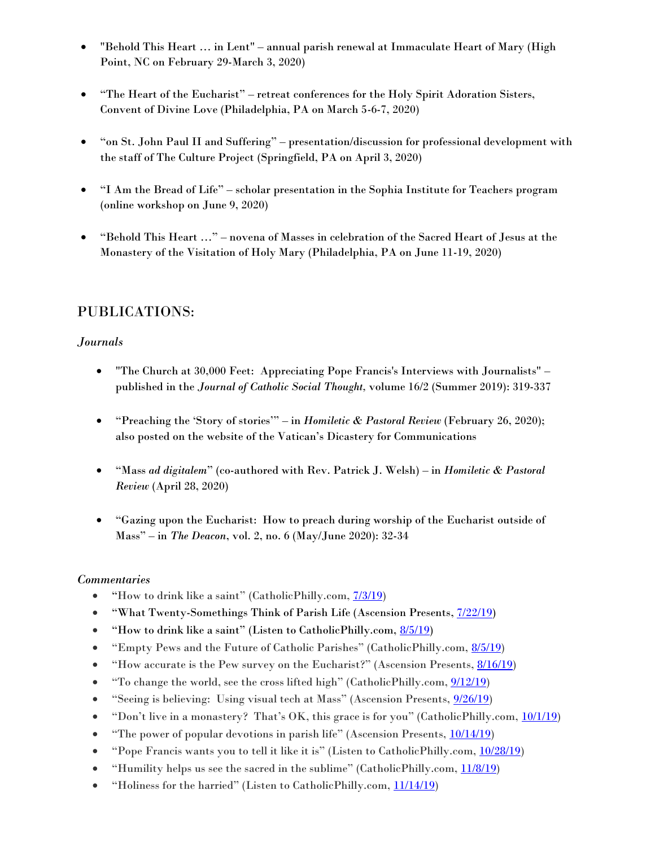- "Behold This Heart … in Lent" annual parish renewal at Immaculate Heart of Mary (High Point, NC on February 29-March 3, 2020)
- "The Heart of the Eucharist" retreat conferences for the Holy Spirit Adoration Sisters, Convent of Divine Love (Philadelphia, PA on March 5-6-7, 2020)
- "on St. John Paul II and Suffering" presentation/discussion for professional development with the staff of The Culture Project (Springfield, PA on April 3, 2020)
- "I Am the Bread of Life" scholar presentation in the Sophia Institute for Teachers program (online workshop on June 9, 2020)
- "Behold This Heart …" novena of Masses in celebration of the Sacred Heart of Jesus at the Monastery of the Visitation of Holy Mary (Philadelphia, PA on June 11-19, 2020)

## PUBLICATIONS:

### *Journals*

- "The Church at 30,000 Feet: Appreciating Pope Francis's Interviews with Journalists" published in the *Journal of Catholic Social Thought,* volume 16/2 (Summer 2019): 319-337
- "Preaching the 'Story of stories'" in *Homiletic & Pastoral Review* (February 26, 2020); also posted on the website of the Vatican's Dicastery for Communications
- "Mass *ad digitalem*" (co-authored with Rev. Patrick J. Welsh) in *Homiletic & Pastoral Review* (April 28, 2020)
- "Gazing upon the Eucharist: How to preach during worship of the Eucharist outside of Mass" – in *The Deacon*, vol. 2, no. 6 (May/June 2020): 32-34

### *Commentaries*

- "How to drink like a saint" (CatholicPhilly.com, [7/3/19](http://catholicphilly.com/2019/07/commentaries/how-to-drink-like-a-saint/))
- "What Twenty-Somethings Think of Parish Life (Ascension Presents, [7/22/19\)](https://media.ascensionpress.com/2019/07/22/what-twenty-somethings-think-of-parish-life/)
- "How to drink like a saint" (Listen to CatholicPhilly.com, [8/5/19\)](https://catholicphilly.com/2019/08/listen/how-to-drink-like-a-saint-2/)
- "Empty Pews and the Future of Catholic Parishes" (CatholicPhilly.com, [8/5/19\)](http://catholicphilly.com/2019/08/commentaries/empty-pews-and-the-future-of-catholic-parishes/)
- "How accurate is the Pew survey on the Eucharist?" (Ascension Presents, [8/16/19\)](https://media.ascensionpress.com/2019/08/16/how-accurate-is-the-pew-survey-on-the-eucharist/)
- "To change the world, see the cross lifted high" (CatholicPhilly.com,  $9/12/19$ )
- "Seeing is believing: Using visual tech at Mass" (Ascension Presents, [9/26/19\)](https://media.ascensionpress.com/2019/09/26/seeing-is-believing-using-visual-tech-at-mass/)
- "Don't live in a monastery? That's OK, this grace is for you" (CatholicPhilly.com,  $\frac{10}{1/19}$ )
- "The power of popular devotions in parish life" (Ascension Presents, [10/14/19\)](http://media.ascensionpress.com/2019/10/14/the-power-of-popular-devotions-in-parish-life/)
- "Pope Francis wants you to tell it like it is" (Listen to CatholicPhilly.com, [10/28/19\)](https://catholicphilly.com/2019/10/listen/pope-francis-wants-you-to-tell-it-like-it-is/)
- "Humility helps us see the sacred in the sublime" (CatholicPhilly.com, [11/8/19\)](http://catholicphilly.com/2019/11/commentaries/humility-helps-us-see-the-sacred-in-the-sublime/)
- "Holiness for the harried" (Listen to CatholicPhilly.com,  $11/14/19$ )